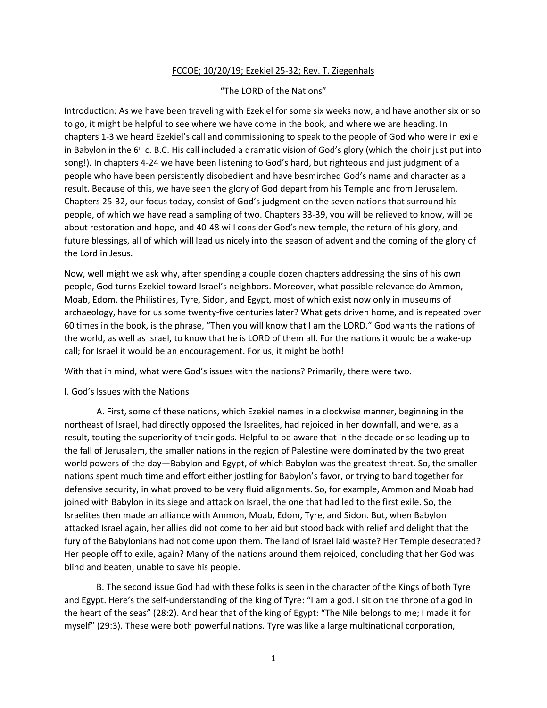## FCCOE; 10/20/19; Ezekiel 25-32; Rev. T. Ziegenhals

## "The LORD of the Nations"

Introduction: As we have been traveling with Ezekiel for some six weeks now, and have another six or so to go, it might be helpful to see where we have come in the book, and where we are heading. In chapters 1-3 we heard Ezekiel's call and commissioning to speak to the people of God who were in exile in Babylon in the  $6<sup>th</sup>$  c. B.C. His call included a dramatic vision of God's glory (which the choir just put into song!). In chapters 4-24 we have been listening to God's hard, but righteous and just judgment of a people who have been persistently disobedient and have besmirched God's name and character as a result. Because of this, we have seen the glory of God depart from his Temple and from Jerusalem. Chapters 25-32, our focus today, consist of God's judgment on the seven nations that surround his people, of which we have read a sampling of two. Chapters 33-39, you will be relieved to know, will be about restoration and hope, and 40-48 will consider God's new temple, the return of his glory, and future blessings, all of which will lead us nicely into the season of advent and the coming of the glory of the Lord in Jesus.

Now, well might we ask why, after spending a couple dozen chapters addressing the sins of his own people, God turns Ezekiel toward Israel's neighbors. Moreover, what possible relevance do Ammon, Moab, Edom, the Philistines, Tyre, Sidon, and Egypt, most of which exist now only in museums of archaeology, have for us some twenty-five centuries later? What gets driven home, and is repeated over 60 times in the book, is the phrase, "Then you will know that I am the LORD." God wants the nations of the world, as well as Israel, to know that he is LORD of them all. For the nations it would be a wake-up call; for Israel it would be an encouragement. For us, it might be both!

With that in mind, what were God's issues with the nations? Primarily, there were two.

## I. God's Issues with the Nations

A. First, some of these nations, which Ezekiel names in a clockwise manner, beginning in the northeast of Israel, had directly opposed the Israelites, had rejoiced in her downfall, and were, as a result, touting the superiority of their gods. Helpful to be aware that in the decade or so leading up to the fall of Jerusalem, the smaller nations in the region of Palestine were dominated by the two great world powers of the day—Babylon and Egypt, of which Babylon was the greatest threat. So, the smaller nations spent much time and effort either jostling for Babylon's favor, or trying to band together for defensive security, in what proved to be very fluid alignments. So, for example, Ammon and Moab had joined with Babylon in its siege and attack on Israel, the one that had led to the first exile. So, the Israelites then made an alliance with Ammon, Moab, Edom, Tyre, and Sidon. But, when Babylon attacked Israel again, her allies did not come to her aid but stood back with relief and delight that the fury of the Babylonians had not come upon them. The land of Israel laid waste? Her Temple desecrated? Her people off to exile, again? Many of the nations around them rejoiced, concluding that her God was blind and beaten, unable to save his people.

B. The second issue God had with these folks is seen in the character of the Kings of both Tyre and Egypt. Here's the self-understanding of the king of Tyre: "I am a god. I sit on the throne of a god in the heart of the seas" (28:2). And hear that of the king of Egypt: "The Nile belongs to me; I made it for myself" (29:3). These were both powerful nations. Tyre was like a large multinational corporation,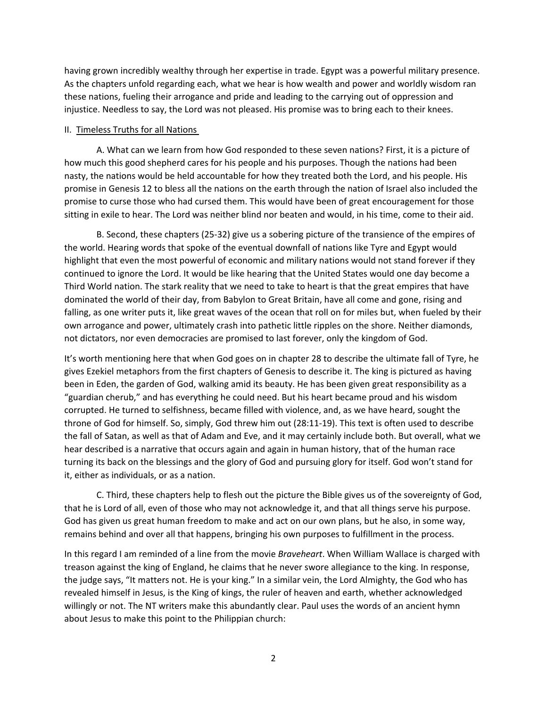having grown incredibly wealthy through her expertise in trade. Egypt was a powerful military presence. As the chapters unfold regarding each, what we hear is how wealth and power and worldly wisdom ran these nations, fueling their arrogance and pride and leading to the carrying out of oppression and injustice. Needless to say, the Lord was not pleased. His promise was to bring each to their knees.

## II. Timeless Truths for all Nations

A. What can we learn from how God responded to these seven nations? First, it is a picture of how much this good shepherd cares for his people and his purposes. Though the nations had been nasty, the nations would be held accountable for how they treated both the Lord, and his people. His promise in Genesis 12 to bless all the nations on the earth through the nation of Israel also included the promise to curse those who had cursed them. This would have been of great encouragement for those sitting in exile to hear. The Lord was neither blind nor beaten and would, in his time, come to their aid.

B. Second, these chapters (25-32) give us a sobering picture of the transience of the empires of the world. Hearing words that spoke of the eventual downfall of nations like Tyre and Egypt would highlight that even the most powerful of economic and military nations would not stand forever if they continued to ignore the Lord. It would be like hearing that the United States would one day become a Third World nation. The stark reality that we need to take to heart is that the great empires that have dominated the world of their day, from Babylon to Great Britain, have all come and gone, rising and falling, as one writer puts it, like great waves of the ocean that roll on for miles but, when fueled by their own arrogance and power, ultimately crash into pathetic little ripples on the shore. Neither diamonds, not dictators, nor even democracies are promised to last forever, only the kingdom of God.

It's worth mentioning here that when God goes on in chapter 28 to describe the ultimate fall of Tyre, he gives Ezekiel metaphors from the first chapters of Genesis to describe it. The king is pictured as having been in Eden, the garden of God, walking amid its beauty. He has been given great responsibility as a "guardian cherub," and has everything he could need. But his heart became proud and his wisdom corrupted. He turned to selfishness, became filled with violence, and, as we have heard, sought the throne of God for himself. So, simply, God threw him out (28:11-19). This text is often used to describe the fall of Satan, as well as that of Adam and Eve, and it may certainly include both. But overall, what we hear described is a narrative that occurs again and again in human history, that of the human race turning its back on the blessings and the glory of God and pursuing glory for itself. God won't stand for it, either as individuals, or as a nation.

C. Third, these chapters help to flesh out the picture the Bible gives us of the sovereignty of God, that he is Lord of all, even of those who may not acknowledge it, and that all things serve his purpose. God has given us great human freedom to make and act on our own plans, but he also, in some way, remains behind and over all that happens, bringing his own purposes to fulfillment in the process.

In this regard I am reminded of a line from the movie *Braveheart*. When William Wallace is charged with treason against the king of England, he claims that he never swore allegiance to the king. In response, the judge says, "It matters not. He is your king." In a similar vein, the Lord Almighty, the God who has revealed himself in Jesus, is the King of kings, the ruler of heaven and earth, whether acknowledged willingly or not. The NT writers make this abundantly clear. Paul uses the words of an ancient hymn about Jesus to make this point to the Philippian church: